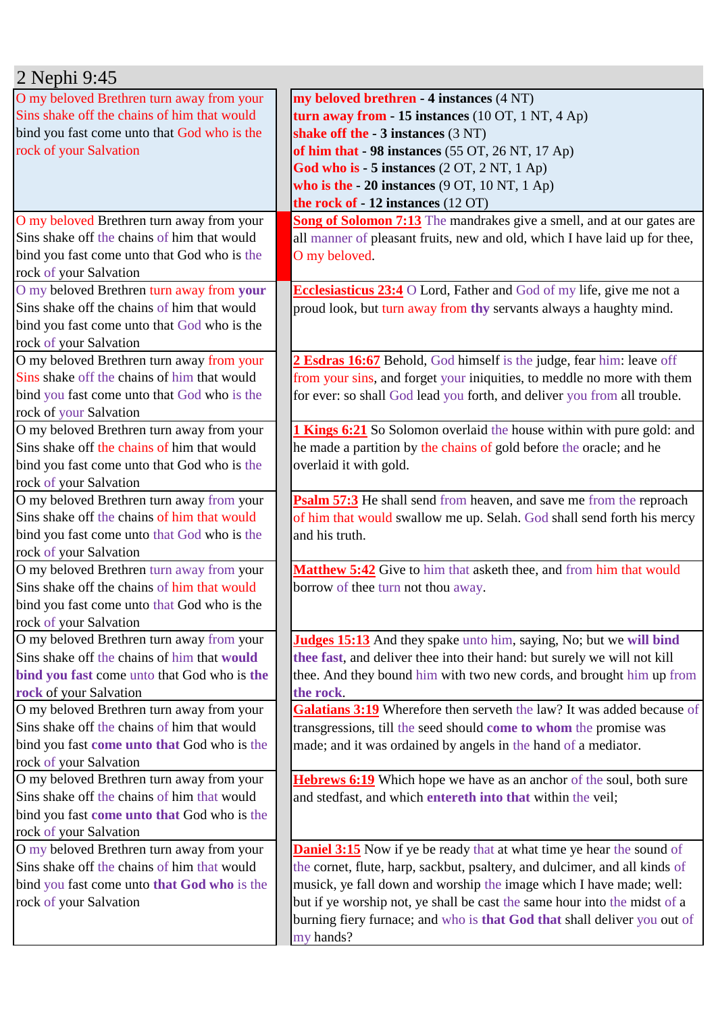| 2 Nephi 9:45                                |                                                                              |
|---------------------------------------------|------------------------------------------------------------------------------|
| O my beloved Brethren turn away from your   | my beloved brethren - 4 instances (4 NT)                                     |
| Sins shake off the chains of him that would | turn away from $-15$ instances (10 OT, 1 NT, 4 Ap)                           |
| bind you fast come unto that God who is the | shake off the $-3$ instances $(3 \text{ NT})$                                |
| rock of your Salvation                      | of him that - 98 instances (55 OT, 26 NT, 17 Ap)                             |
|                                             | God who is $-5$ instances $(2 OT, 2 NT, 1 Ap)$                               |
|                                             | who is the $-20$ instances $(9 \text{ OT}, 10 \text{ NT}, 1 \text{ Ap})$     |
|                                             | the rock of - 12 instances (12 OT)                                           |
| O my beloved Brethren turn away from your   | Song of Solomon 7:13 The mandrakes give a smell, and at our gates are        |
| Sins shake off the chains of him that would | all manner of pleasant fruits, new and old, which I have laid up for thee,   |
| bind you fast come unto that God who is the | O my beloved.                                                                |
| rock of your Salvation                      |                                                                              |
| O my beloved Brethren turn away from your   | <b>Ecclesiasticus 23:4</b> O Lord, Father and God of my life, give me not a  |
| Sins shake off the chains of him that would | proud look, but turn away from thy servants always a haughty mind.           |
| bind you fast come unto that God who is the |                                                                              |
| rock of your Salvation                      |                                                                              |
| O my beloved Brethren turn away from your   | 2 Esdras 16:67 Behold, God himself is the judge, fear him: leave off         |
| Sins shake off the chains of him that would | from your sins, and forget your iniquities, to meddle no more with them      |
| bind you fast come unto that God who is the | for ever: so shall God lead you forth, and deliver you from all trouble.     |
| rock of your Salvation                      |                                                                              |
| O my beloved Brethren turn away from your   | 1 Kings 6:21 So Solomon overlaid the house within with pure gold: and        |
| Sins shake off the chains of him that would | he made a partition by the chains of gold before the oracle; and he          |
| bind you fast come unto that God who is the | overlaid it with gold.                                                       |
| rock of your Salvation                      |                                                                              |
| O my beloved Brethren turn away from your   | Psalm 57:3 He shall send from heaven, and save me from the reproach          |
| Sins shake off the chains of him that would | of him that would swallow me up. Selah. God shall send forth his mercy       |
| bind you fast come unto that God who is the | and his truth.                                                               |
| rock of your Salvation                      |                                                                              |
| O my beloved Brethren turn away from your   | Matthew 5:42 Give to him that asketh thee, and from him that would           |
| Sins shake off the chains of him that would | borrow of thee turn not thou away.                                           |
| bind you fast come unto that God who is the |                                                                              |
| rock of your Salvation                      |                                                                              |
| O my beloved Brethren turn away from your   | <b>Judges 15:13</b> And they spake unto him, saying, No; but we will bind    |
| Sins shake off the chains of him that would | thee fast, and deliver thee into their hand: but surely we will not kill     |
| bind you fast come unto that God who is the | thee. And they bound him with two new cords, and brought him up from         |
| rock of your Salvation                      | the rock.                                                                    |
| O my beloved Brethren turn away from your   | Galatians 3:19 Wherefore then serveth the law? It was added because of       |
| Sins shake off the chains of him that would | transgressions, till the seed should come to whom the promise was            |
| bind you fast come unto that God who is the | made; and it was ordained by angels in the hand of a mediator.               |
| rock of your Salvation                      |                                                                              |
| O my beloved Brethren turn away from your   | <b>Hebrews 6:19</b> Which hope we have as an anchor of the soul, both sure   |
| Sins shake off the chains of him that would | and stedfast, and which entereth into that within the veil;                  |
| bind you fast come unto that God who is the |                                                                              |
| rock of your Salvation                      |                                                                              |
| O my beloved Brethren turn away from your   | <b>Daniel 3:15</b> Now if ye be ready that at what time ye hear the sound of |
| Sins shake off the chains of him that would | the cornet, flute, harp, sackbut, psaltery, and dulcimer, and all kinds of   |
| bind you fast come unto that God who is the | musick, ye fall down and worship the image which I have made; well:          |
| rock of your Salvation                      | but if ye worship not, ye shall be cast the same hour into the midst of a    |
|                                             | burning fiery furnace; and who is that God that shall deliver you out of     |
|                                             | my hands?                                                                    |